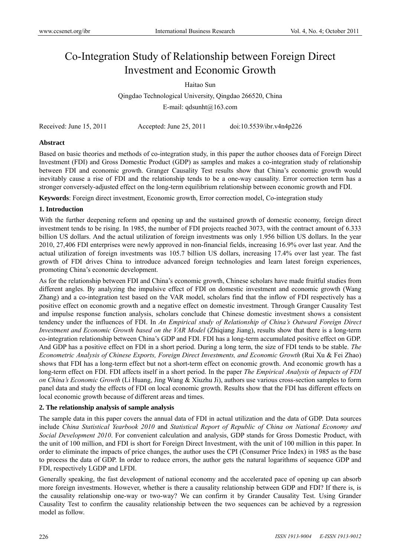# Co-Integration Study of Relationship between Foreign Direct Investment and Economic Growth

Haitao Sun

Qingdao Technological University, Qingdao 266520, China

E-mail:  $qdsunht@163.com$ 

| doi:10.5539/ibr.v4n4p226<br>Received: June 15, 2011<br>Accepted: June 25, 2011 |  |
|--------------------------------------------------------------------------------|--|
|--------------------------------------------------------------------------------|--|

# **Abstract**

Based on basic theories and methods of co-integration study, in this paper the author chooses data of Foreign Direct Investment (FDI) and Gross Domestic Product (GDP) as samples and makes a co-integration study of relationship between FDI and economic growth. Granger Causality Test results show that China's economic growth would inevitably cause a rise of FDI and the relationship tends to be a one-way causality. Error correction term has a stronger conversely-adjusted effect on the long-term equilibrium relationship between economic growth and FDI.

**Keywords**: Foreign direct investment, Economic growth, Error correction model, Co-integration study

#### **1. Introduction**

With the further deepening reform and opening up and the sustained growth of domestic economy, foreign direct investment tends to be rising. In 1985, the number of FDI projects reached 3073, with the contract amount of 6.333 billion US dollars. And the actual utilization of foreign investments was only 1.956 billion US dollars. In the year 2010, 27,406 FDI enterprises were newly approved in non-financial fields, increasing 16.9% over last year. And the actual utilization of foreign investments was 105.7 billion US dollars, increasing 17.4% over last year. The fast growth of FDI drives China to introduce advanced foreign technologies and learn latest foreign experiences, promoting China's economic development.

As for the relationship between FDI and China's economic growth, Chinese scholars have made fruitful studies from different angles. By analyzing the impulsive effect of FDI on domestic investment and economic growth (Wang Zhang) and a co-integration test based on the VAR model, scholars find that the inflow of FDI respectively has a positive effect on economic growth and a negative effect on domestic investment. Through Granger Causality Test and impulse response function analysis, scholars conclude that Chinese domestic investment shows a consistent tendency under the influences of FDI. In *An Empirical study of Relationship of China's Outward Foreign Direct Investment and Economic Growth based on the VAR Model* (Zhiqiang Jiang), results show that there is a long-term co-integration relationship between China's GDP and FDI. FDI has a long-term accumulated positive effect on GDP. And GDP has a positive effect on FDI in a short period. During a long term, the size of FDI tends to be stable. *The Econometric Analysis of Chinese Exports, Foreign Direct Investments, and Economic Growth* (Rui Xu & Fei Zhao) shows that FDI has a long-term effect but not a short-term effect on economic growth. And economic growth has a long-term effect on FDI. FDI affects itself in a short period. In the paper *The Empirical Analysis of Impacts of FDI on China's Economic Growth* (Li Huang, Jing Wang & Xiuzhu Ji), authors use various cross-section samples to form panel data and study the effects of FDI on local economic growth. Results show that the FDI has different effects on local economic growth because of different areas and times.

# **2. The relationship analysis of sample analysis**

The sample data in this paper covers the annual data of FDI in actual utilization and the data of GDP. Data sources include *China Statistical Yearbook 2010* and *Statistical Report of Republic of China on National Economy and Social Development 2010*. For convenient calculation and analysis, GDP stands for Gross Domestic Product, with the unit of 100 million, and FDI is short for Foreign Direct Investment, with the unit of 100 million in this paper. In order to eliminate the impacts of price changes, the author uses the CPI (Consumer Price Index) in 1985 as the base to process the data of GDP. In order to reduce errors, the author gets the natural logarithms of sequence GDP and FDI, respectively LGDP and LFDI.

Generally speaking, the fast development of national economy and the accelerated pace of opening up can absorb more foreign investments. However, whether is there a causality relationship between GDP and FDI? If there is, is the causality relationship one-way or two-way? We can confirm it by Grander Causality Test. Using Grander Causality Test to confirm the causality relationship between the two sequences can be achieved by a regression model as follow.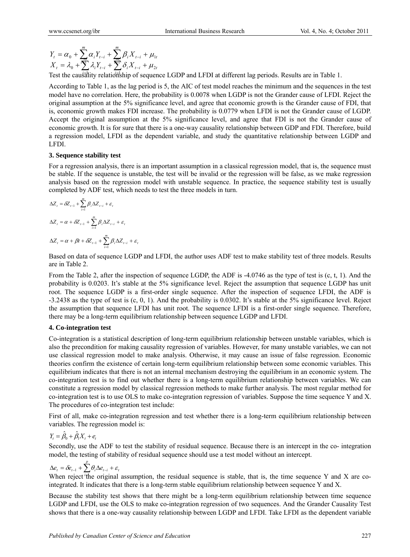$$
Y_{t} = \alpha_{0} + \sum_{i=1}^{m} \alpha_{i} Y_{t-i} + \sum_{i=1}^{m} \beta_{i} X_{t-i} + \mu_{1t}
$$
  

$$
X_{t} = \lambda_{0} + \sum_{i=1}^{m} \lambda_{i} Y_{t-i} + \sum_{i=1}^{m} \delta_{i} X_{t-i} + \mu_{2t}
$$

 $X_t = \lambda_0 + \sum_i \lambda_i Y_{t-i} + \sum_i \delta_i X_{t-i} + \mu_{2t}$ <br>
Test the caus<sup>f</sup>ality relationship of sequence LGDP and LFDI at different lag periods. Results are in Table 1.

According to Table 1, as the lag period is 5, the AIC of test model reaches the minimum and the sequences in the test model have no correlation. Here, the probability is 0.0078 when LGDP is not the Grander cause of LFDI. Reject the original assumption at the 5% significance level, and agree that economic growth is the Grander cause of FDI, that is, economic growth makes FDI increase. The probability is 0.0779 when LFDI is not the Grander cause of LGDP. Accept the original assumption at the 5% significance level, and agree that FDI is not the Grander cause of economic growth. It is for sure that there is a one-way causality relationship between GDP and FDI. Therefore, build a regression model, LFDI as the dependent variable, and study the quantitative relationship between LGDP and LFDI.

#### **3. Sequence stability test**

For a regression analysis, there is an important assumption in a classical regression model, that is, the sequence must be stable. If the sequence is unstable, the test will be invalid or the regression will be false, as we make regression analysis based on the regression model with unstable sequence. In practice, the sequence stability test is usually completed by ADF test, which needs to test the three models in turn.

$$
\Delta Z_{t} = \delta Z_{t-1} + \sum_{i=1}^{m} \beta_{i} \Delta Z_{t-i} + \varepsilon_{t}
$$

$$
\Delta Z_{t} = \alpha + \delta Z_{t-1} + \sum_{i=1}^{m} \beta_{i} \Delta Z_{t-i} + \varepsilon_{t}
$$

$$
\Delta Z_{t} = \alpha + \beta t + \delta Z_{t-1} + \sum_{i=1}^{m} \beta_{i} \Delta Z_{t-i} + \varepsilon_{t}
$$

Based on data of sequence LGDP and LFDI, the author uses ADF test to make stability test of three models. Results are in Table 2.

From the Table 2, after the inspection of sequence LGDP, the ADF is -4.0746 as the type of test is (c, t, 1). And the probability is 0.0203. It's stable at the 5% significance level. Reject the assumption that sequence LGDP has unit root. The sequence LGDP is a first-order single sequence. After the inspection of sequence LFDI, the ADF is -3.2438 as the type of test is (c, 0, 1). And the probability is 0.0302. It's stable at the 5% significance level. Reject the assumption that sequence LFDI has unit root. The sequence LFDI is a first-order single sequence. Therefore, there may be a long-term equilibrium relationship between sequence LGDP and LFDI.

# **4. Co-integration test**

Co-integration is a statistical description of long-term equilibrium relationship between unstable variables, which is also the precondition for making causality regression of variables. However, for many unstable variables, we can not use classical regression model to make analysis. Otherwise, it may cause an issue of false regression. Economic theories confirm the existence of certain long-term equilibrium relationship between some economic variables. This equilibrium indicates that there is not an internal mechanism destroying the equilibrium in an economic system. The co-integration test is to find out whether there is a long-term equilibrium relationship between variables. We can constitute a regression model by classical regression methods to make further analysis. The most regular method for co-integration test is to use OLS to make co-integration regression of variables. Suppose the time sequence Y and X. The procedures of co-integration test include:

First of all, make co-integration regression and test whether there is a long-term equilibrium relationship between variables. The regression model is:

$$
Y_t = \hat{\beta}_0 + \hat{\beta}_1 X_t + e_t
$$

Secondly, use the ADF to test the stability of residual sequence. Because there is an intercept in the co- integration model, the testing of stability of residual sequence should use a test model without an intercept.

# $\Delta e_i = \delta e_{i-1} + \sum_{i=1}^{p} \theta_i \Delta e_{i-i} + \varepsilon_i$ <br>When reject <sup>*i*</sup> the criginal

When reject the original assumption, the residual sequence is stable, that is, the time sequence Y and X are cointegrated. It indicates that there is a long-term stable equilibrium relationship between sequence Y and X.

Because the stability test shows that there might be a long-term equilibrium relationship between time sequence LGDP and LFDI, use the OLS to make co-integration regression of two sequences. And the Grander Causality Test shows that there is a one-way causality relationship between LGDP and LFDI. Take LFDI as the dependent variable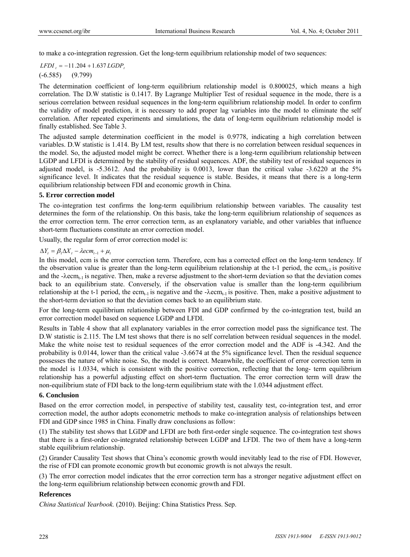to make a co-integration regression. Get the long-term equilibrium relationship model of two sequences:

 $LFDI$ ,  $= -11.204 + 1.637 LGDP$ ,

#### (-6.585) (9.799)

The determination coefficient of long-term equilibrium relationship model is 0.800025, which means a high correlation. The D.W statistic is 0.1417. By Lagrange Multiplier Test of residual sequence in the mode, there is a serious correlation between residual sequences in the long-term equilibrium relationship model. In order to confirm the validity of model prediction, it is necessary to add proper lag variables into the model to eliminate the self correlation. After repeated experiments and simulations, the data of long-term equilibrium relationship model is finally established. See Table 3.

The adjusted sample determination coefficient in the model is 0.9778, indicating a high correlation between variables. D.W statistic is 1.414. By LM test, results show that there is no correlation between residual sequences in the model. So, the adjusted model might be correct. Whether there is a long-term equilibrium relationship between LGDP and LFDI is determined by the stability of residual sequences. ADF, the stability test of residual sequences in adjusted model, is -5.3612. And the probability is 0.0013, lower than the critical value -3.6220 at the 5% significance level. It indicates that the residual sequence is stable. Besides, it means that there is a long-term equilibrium relationship between FDI and economic growth in China.

#### **5. Error correction model**

The co-integration test confirms the long-term equilibrium relationship between variables. The causality test determines the form of the relationship. On this basis, take the long-term equilibrium relationship of sequences as the error correction term. The error correction term, as an explanatory variable, and other variables that influence short-term fluctuations constitute an error correction model.

Usually, the regular form of error correction model is:

#### $\Delta Y_t = \beta_1 \Delta X_t - \lambda e cm_{t-1} + \mu_t$

In this model, ecm is the error correction term. Therefore, ecm has a corrected effect on the long-term tendency. If the observation value is greater than the long-term equilibrium relationship at the  $t-1$  period, the ecm<sub>t-1</sub> is positive and the - $\lambda$ ecm<sub>t-1</sub> is negative. Then, make a reverse adjustment to the short-term deviation so that the deviation comes back to an equilibrium state. Conversely, if the observation value is smaller than the long-term equilibrium relationship at the t-1 period, the  $ecm_{t-1}$  is negative and the - $\lambda$ ecm<sub>t-1</sub> is positive. Then, make a positive adjustment to the short-term deviation so that the deviation comes back to an equilibrium state.

For the long-term equilibrium relationship between FDI and GDP confirmed by the co-integration test, build an error correction model based on sequence LGDP and LFDI.

Results in Table 4 show that all explanatory variables in the error correction model pass the significance test. The D.W statistic is 2.115. The LM test shows that there is no self correlation between residual sequences in the model. Make the white noise test to residual sequences of the error correction model and the ADF is -4.342. And the probability is 0.0144, lower than the critical value -3.6674 at the 5% significance level. Then the residual sequence possesses the nature of white noise. So, the model is correct. Meanwhile, the coefficient of error correction term in the model is 1.0334, which is consistent with the positive correction, reflecting that the long- term equilibrium relationship has a powerful adjusting effect on short-term fluctuation. The error correction term will draw the non-equilibrium state of FDI back to the long-term equilibrium state with the 1.0344 adjustment effect.

#### **6. Conclusion**

Based on the error correction model, in perspective of stability test, causality test, co-integration test, and error correction model, the author adopts econometric methods to make co-integration analysis of relationships between FDI and GDP since 1985 in China. Finally draw conclusions as follow:

(1) The stability test shows that LGDP and LFDI are both first-order single sequence. The co-integration test shows that there is a first-order co-integrated relationship between LGDP and LFDI. The two of them have a long-term stable equilibrium relationship.

(2) Grander Causality Test shows that China's economic growth would inevitably lead to the rise of FDI. However, the rise of FDI can promote economic growth but economic growth is not always the result.

(3) The error correction model indicates that the error correction term has a stronger negative adjustment effect on the long-term equilibrium relationship between economic growth and FDI.

#### **References**

*China Statistical Yearbook.* (2010). Beijing: China Statistics Press. Sep.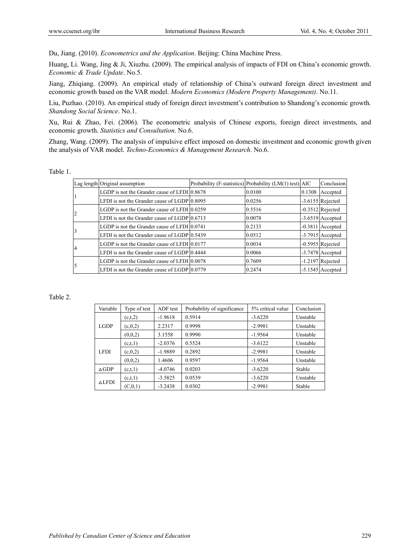Du, Jiang. (2010). *Econometrics and the Application*. Beijing: China Machine Press.

Huang, Li. Wang, Jing & Ji, Xiuzhu. (2009). The empirical analysis of impacts of FDI on China's economic growth. *Economic & Trade Update*. No.5.

Jiang, Zhiqiang. (2009). An empirical study of relationship of China's outward foreign direct investment and economic growth based on the VAR model. *Modern Economics (Modern Property Management)*. No.11.

Liu, Puzhao. (2010). An empirical study of foreign direct investment's contribution to Shandong's economic growth. *Shandong Social Science*. No.1.

Xu, Rui & Zhao, Fei. (2006). The econometric analysis of Chinese exports, foreign direct investments, and economic growth. *Statistics and Consultation*. No.6.

Zhang, Wang. (2009). The analysis of impulsive effect imposed on domestic investment and economic growth given the analysis of VAR model. *Techno-Economics & Management Research*. No.6.

|  | able |  |  |
|--|------|--|--|
|--|------|--|--|

|  | Lag length Original assumption                         | Probability (F-statistics) Probability (LM(1) test) AIC |        | Conclusion         |
|--|--------------------------------------------------------|---------------------------------------------------------|--------|--------------------|
|  | LGDP is not the Grander cause of LFDI 0.8678           | 0.0100                                                  | 0.1308 | Accepted           |
|  | LFDI is not the Grander cause of LGDP 0.8095           | 0.0256                                                  |        | $-3.6155$ Rejected |
|  | LGDP is not the Grander cause of LFDI $ 0.0259\rangle$ | 0.5516                                                  |        | $-0.3512$ Rejected |
|  | LFDI is not the Grander cause of $LGDP10.6713$         | 0.0078                                                  |        | -3.6519 Accepted   |
|  | LGDP is not the Grander cause of LFDI $ 0.0741\rangle$ | 0.2133                                                  |        | $-0.3811$ Accepted |
|  | LFDI is not the Grander cause of LGDP10.5439           | 0.0512                                                  |        | -3.7915 Accepted   |
|  | LGDP is not the Grander cause of LFDI $[0.0177]$       | 0.0034                                                  |        | $-0.5955$ Rejected |
|  | LFDI is not the Grander cause of LGDP10.4444           | 0.0066                                                  |        | -3.7478 Accepted   |
|  | LGDP is not the Grander cause of LFDI 0.0078           | 0.7609                                                  |        | $-1.2197$ Rejected |
|  | LFDI is not the Grander cause of $LGDP 0.0779$         | 0.2474                                                  |        | $-5.1545$ Accepted |

#### Table 2.

| Variable         | Type of test | ADF test  | Probability of significance | 5% critical value | Conclusion |
|------------------|--------------|-----------|-----------------------------|-------------------|------------|
|                  | (c,t,2)      | $-1.9618$ | 0.5914                      | $-3.6220$         | Unstable   |
| <b>LGDP</b>      | (c, 0, 2)    | 2.2317    | 0.9998                      | $-2.9981$         | Unstable   |
|                  | (0,0,2)      | 3.1558    | 0.9990                      | $-1.9564$         | Unstable   |
|                  | (c,t,1)      | $-2.0376$ | 0.5524                      | $-3.6122$         | Unstable   |
| <b>LFDI</b>      | (c, 0, 2)    | $-1.9889$ | 0.2892                      | $-2.9981$         | Unstable   |
|                  | (0,0,2)      | 1.4606    | 0.9597                      | $-1.9564$         | Unstable   |
| $\triangle$ GDP  | (c,t,1)      | $-4.0746$ | 0.0203                      | $-3.6220$         | Stable     |
|                  | (c,t,1)      | $-3.5825$ | 0.0539                      | $-3.6220$         | Unstable   |
| $\triangle LFDI$ | (C, 0, 1)    | $-3.2438$ | 0.0302                      | $-2.9981$         | Stable     |